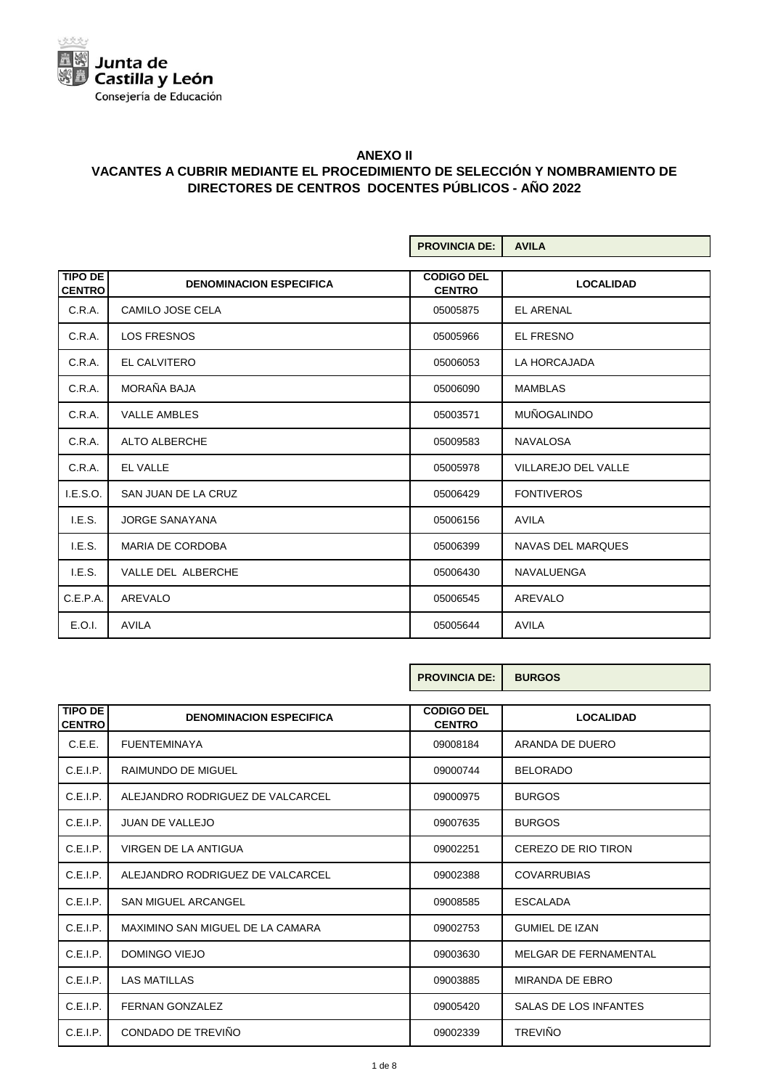

|                                 |                                | <b>PROVINCIA DE:</b>               | <b>AVILA</b>               |
|---------------------------------|--------------------------------|------------------------------------|----------------------------|
| <b>TIPO DE</b><br><b>CENTRO</b> | <b>DENOMINACION ESPECIFICA</b> | <b>CODIGO DEL</b><br><b>CENTRO</b> | <b>LOCALIDAD</b>           |
| C.R.A.                          | CAMILO JOSE CELA               | 05005875                           | <b>EL ARENAL</b>           |
| C.R.A.                          | <b>LOS FRESNOS</b>             | 05005966                           | <b>EL FRESNO</b>           |
| C.R.A.                          | EL CALVITERO                   | 05006053                           | LA HORCAJADA               |
| C.R.A.                          | MORAÑA BAJA                    | 05006090                           | <b>MAMBLAS</b>             |
| C.R.A.                          | <b>VALLE AMBLES</b>            | 05003571                           | <b>MUÑOGALINDO</b>         |
| C.R.A.                          | ALTO ALBERCHE                  | 05009583                           | <b>NAVALOSA</b>            |
| C.R.A.                          | <b>EL VALLE</b>                | 05005978                           | <b>VILLAREJO DEL VALLE</b> |
| I.E.S.O.                        | SAN JUAN DE LA CRUZ            | 05006429                           | <b>FONTIVEROS</b>          |
| I.E.S.                          | <b>JORGE SANAYANA</b>          | 05006156                           | <b>AVILA</b>               |
| I.E.S.                          | <b>MARIA DE CORDOBA</b>        | 05006399                           | NAVAS DEL MARQUES          |
| I.E.S.                          | VALLE DEL ALBERCHE             | 05006430                           | <b>NAVALUENGA</b>          |
| C.E.P.A.                        | AREVALO                        | 05006545                           | AREVALO                    |
| E.O.I.                          | <b>AVILA</b>                   | 05005644                           | <b>AVILA</b>               |

|                          |                                  | <b>PROVINCIA DE:</b>               | <b>BURGOS</b>          |
|--------------------------|----------------------------------|------------------------------------|------------------------|
| TIPO DE<br><b>CENTRO</b> | <b>DENOMINACION ESPECIFICA</b>   | <b>CODIGO DEL</b><br><b>CENTRO</b> | <b>LOCALIDAD</b>       |
| C.E.E.                   | <b>FUENTEMINAYA</b>              | 09008184                           | ARANDA DE DUERO        |
| C.E.I.P.                 | <b>RAIMUNDO DE MIGUEL</b>        | 09000744                           | <b>BELORADO</b>        |
| C.E.I.P.                 | ALEJANDRO RODRIGUEZ DE VALCARCEL | 09000975                           | <b>BURGOS</b>          |
| C.E.I.P.                 | <b>JUAN DE VALLEJO</b>           | 09007635                           | <b>BURGOS</b>          |
| C.E.I.P.                 | VIRGEN DE LA ANTIGUA             | 09002251                           | CEREZO DE RIO TIRON    |
| C.E.I.P.                 | ALEJANDRO RODRIGUEZ DE VALCARCEL | 09002388                           | <b>COVARRUBIAS</b>     |
| C.E.I.P.                 | <b>SAN MIGUEL ARCANGEL</b>       | 09008585                           | <b>ESCALADA</b>        |
| C.E.I.P.                 | MAXIMINO SAN MIGUEL DE LA CAMARA | 09002753                           | <b>GUMIEL DE IZAN</b>  |
| C.E.I.P.                 | DOMINGO VIEJO                    | 09003630                           | MELGAR DE FERNAMENTAL  |
| C.E.I.P.                 | <b>LAS MATILLAS</b>              | 09003885                           | <b>MIRANDA DE EBRO</b> |
| C.E.I.P.                 | <b>FERNAN GONZALEZ</b>           | 09005420                           | SALAS DE LOS INFANTES  |
| C.E.I.P.                 | CONDADO DE TREVIÑO               | 09002339                           | <b>TREVIÑO</b>         |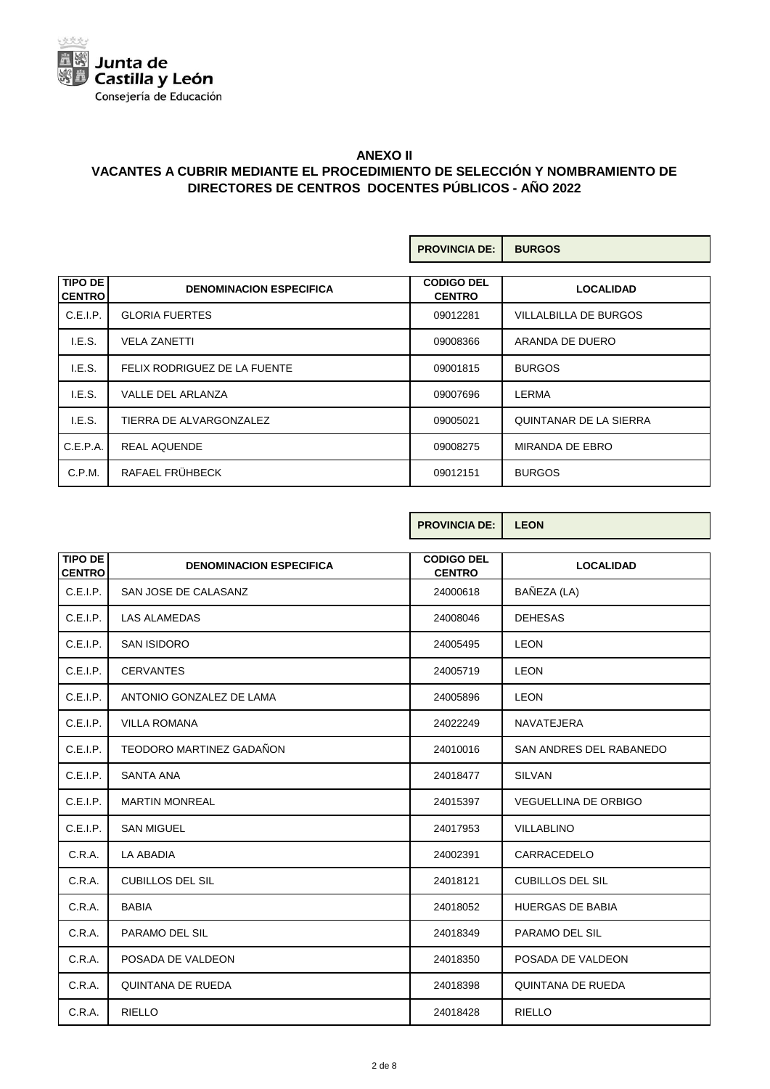

|                                 |                                | <b>PROVINCIA DE:</b>               | <b>BURGOS</b>          |
|---------------------------------|--------------------------------|------------------------------------|------------------------|
| <b>TIPO DE</b><br><b>CENTRO</b> | <b>DENOMINACION ESPECIFICA</b> | <b>CODIGO DEL</b><br><b>CENTRO</b> | <b>LOCALIDAD</b>       |
| C.E.I.P.                        | <b>GLORIA FUERTES</b>          | 09012281                           | VILLALBILLA DE BURGOS  |
| I.E.S.                          | <b>VELA ZANETTI</b>            | 09008366                           | ARANDA DE DUERO        |
| I.E.S.                          | FELIX RODRIGUEZ DE LA FUENTE   | 09001815                           | <b>BURGOS</b>          |
| I.E.S.                          | <b>VALLE DEL ARLANZA</b>       | 09007696                           | LERMA                  |
| I.E.S.                          | TIERRA DE ALVARGONZALEZ        | 09005021                           | QUINTANAR DE LA SIERRA |
| C.E.P.A.                        | <b>REAL AQUENDE</b>            | 09008275                           | MIRANDA DE EBRO        |
| C.P.M.                          | RAFAEL FRÜHBECK                | 09012151                           | <b>BURGOS</b>          |

|                                 |                                | <b>PROVINCIA DE:</b>               | <b>LEON</b>                 |
|---------------------------------|--------------------------------|------------------------------------|-----------------------------|
| <b>TIPO DE</b><br><b>CENTRO</b> | <b>DENOMINACION ESPECIFICA</b> | <b>CODIGO DEL</b><br><b>CENTRO</b> | <b>LOCALIDAD</b>            |
| C.E.I.P.                        | SAN JOSE DE CALASANZ           | 24000618                           | BAÑEZA (LA)                 |
| C.E.I.P.                        | <b>LAS ALAMEDAS</b>            | 24008046                           | <b>DEHESAS</b>              |
| C.E.I.P.                        | <b>SAN ISIDORO</b>             | 24005495                           | <b>LEON</b>                 |
| C.E.I.P.                        | <b>CERVANTES</b>               | 24005719                           | <b>LEON</b>                 |
| C.E.I.P.                        | ANTONIO GONZALEZ DE LAMA       | 24005896                           | <b>LEON</b>                 |
| C.E.I.P.                        | <b>VILLA ROMANA</b>            | 24022249                           | <b>NAVATEJERA</b>           |
| C.E.I.P.                        | TEODORO MARTINEZ GADAÑON       | 24010016                           | SAN ANDRES DEL RABANEDO     |
| C.E.I.P.                        | <b>SANTA ANA</b>               | 24018477                           | <b>SILVAN</b>               |
| C.E.I.P.                        | <b>MARTIN MONREAL</b>          | 24015397                           | <b>VEGUELLINA DE ORBIGO</b> |
| C.E.I.P.                        | <b>SAN MIGUEL</b>              | 24017953                           | <b>VILLABLINO</b>           |
| C.R.A.                          | LA ABADIA                      | 24002391                           | CARRACEDELO                 |
| C.R.A.                          | <b>CUBILLOS DEL SIL</b>        | 24018121                           | <b>CUBILLOS DEL SIL</b>     |
| C.R.A.                          | <b>BABIA</b>                   | 24018052                           | <b>HUERGAS DE BABIA</b>     |
| C.R.A.                          | PARAMO DEL SIL                 | 24018349                           | PARAMO DEL SIL              |
| C.R.A.                          | POSADA DE VALDEON              | 24018350                           | POSADA DE VALDEON           |
| C.R.A.                          | <b>QUINTANA DE RUEDA</b>       | 24018398                           | <b>QUINTANA DE RUEDA</b>    |
| C.R.A.                          | <b>RIELLO</b>                  | 24018428                           | <b>RIELLO</b>               |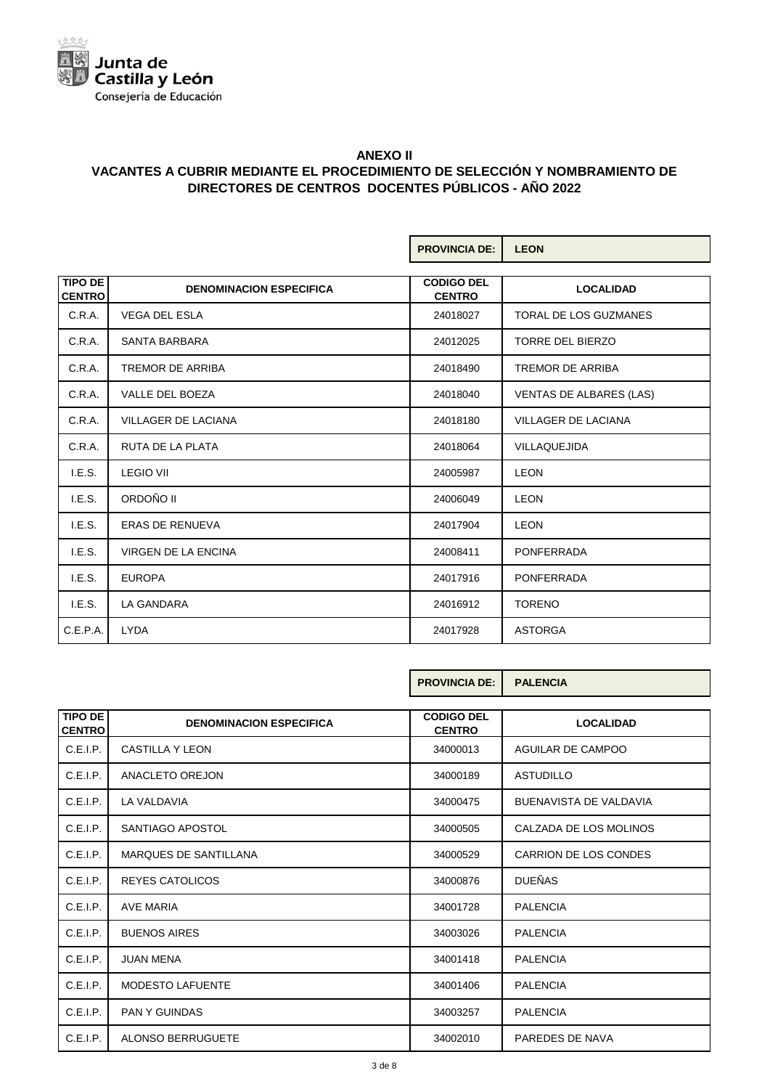

|                                 |                                | <b>PROVINCIA DE:</b>               | <b>LEON</b>                    |
|---------------------------------|--------------------------------|------------------------------------|--------------------------------|
| <b>TIPO DE</b><br><b>CENTRO</b> | <b>DENOMINACION ESPECIFICA</b> | <b>CODIGO DEL</b><br><b>CENTRO</b> | <b>LOCALIDAD</b>               |
| C.R.A.                          | <b>VEGA DEL ESLA</b>           | 24018027                           | TORAL DE LOS GUZMANES          |
| C.R.A.                          | <b>SANTA BARBARA</b>           | 24012025                           | <b>TORRE DEL BIERZO</b>        |
| C.R.A.                          | <b>TREMOR DE ARRIBA</b>        | 24018490                           | <b>TREMOR DE ARRIBA</b>        |
| C.R.A.                          | <b>VALLE DEL BOEZA</b>         | 24018040                           | <b>VENTAS DE ALBARES (LAS)</b> |
| C.R.A.                          | <b>VILLAGER DE LACIANA</b>     | 24018180                           | <b>VILLAGER DE LACIANA</b>     |
| C.R.A.                          | <b>RUTA DE LA PLATA</b>        | 24018064                           | <b>VILLAQUEJIDA</b>            |
| I.E.S.                          | <b>LEGIO VII</b>               | 24005987                           | <b>LEON</b>                    |
| I.E.S.                          | ORDOÑO II                      | 24006049                           | <b>LEON</b>                    |
| I.E.S.                          | <b>ERAS DE RENUEVA</b>         | 24017904                           | <b>LEON</b>                    |
| I.E.S.                          | <b>VIRGEN DE LA ENCINA</b>     | 24008411                           | <b>PONFERRADA</b>              |
| I.E.S.                          | <b>EUROPA</b>                  | 24017916                           | <b>PONFERRADA</b>              |
| I.E.S.                          | LA GANDARA                     | 24016912                           | <b>TORENO</b>                  |
| C.E.P.A.                        | <b>LYDA</b>                    | 24017928                           | <b>ASTORGA</b>                 |

|                                 |                                | <b>PROVINCIA DE:</b>               | <b>PALENCIA</b>               |
|---------------------------------|--------------------------------|------------------------------------|-------------------------------|
| <b>TIPO DE</b><br><b>CENTRO</b> | <b>DENOMINACION ESPECIFICA</b> | <b>CODIGO DEL</b><br><b>CENTRO</b> | <b>LOCALIDAD</b>              |
| C.E.I.P.                        | CASTILLA Y LEON                | 34000013                           | AGUILAR DE CAMPOO             |
| C.E.I.P.                        | ANACLETO OREJON                | 34000189                           | <b>ASTUDILLO</b>              |
| C.E.I.P.                        | LA VALDAVIA                    | 34000475                           | <b>BUENAVISTA DE VALDAVIA</b> |
| C.E.I.P.                        | SANTIAGO APOSTOL               | 34000505                           | CALZADA DE LOS MOLINOS        |
| C.E.I.P.                        | <b>MARQUES DE SANTILLANA</b>   | 34000529                           | CARRION DE LOS CONDES         |
| C.E.I.P.                        | REYES CATOLICOS                | 34000876                           | <b>DUEÑAS</b>                 |
| C.E.I.P.                        | <b>AVE MARIA</b>               | 34001728                           | <b>PALENCIA</b>               |
| C.E.I.P.                        | <b>BUENOS AIRES</b>            | 34003026                           | <b>PALENCIA</b>               |
| C.E.I.P.                        | <b>JUAN MENA</b>               | 34001418                           | <b>PALENCIA</b>               |
| C.E.I.P.                        | <b>MODESTO LAFUENTE</b>        | 34001406                           | <b>PALENCIA</b>               |
| C.E.I.P.                        | <b>PAN Y GUINDAS</b>           | 34003257                           | <b>PALENCIA</b>               |
| C.E.I.P.                        | <b>ALONSO BERRUGUETE</b>       | 34002010                           | PAREDES DE NAVA               |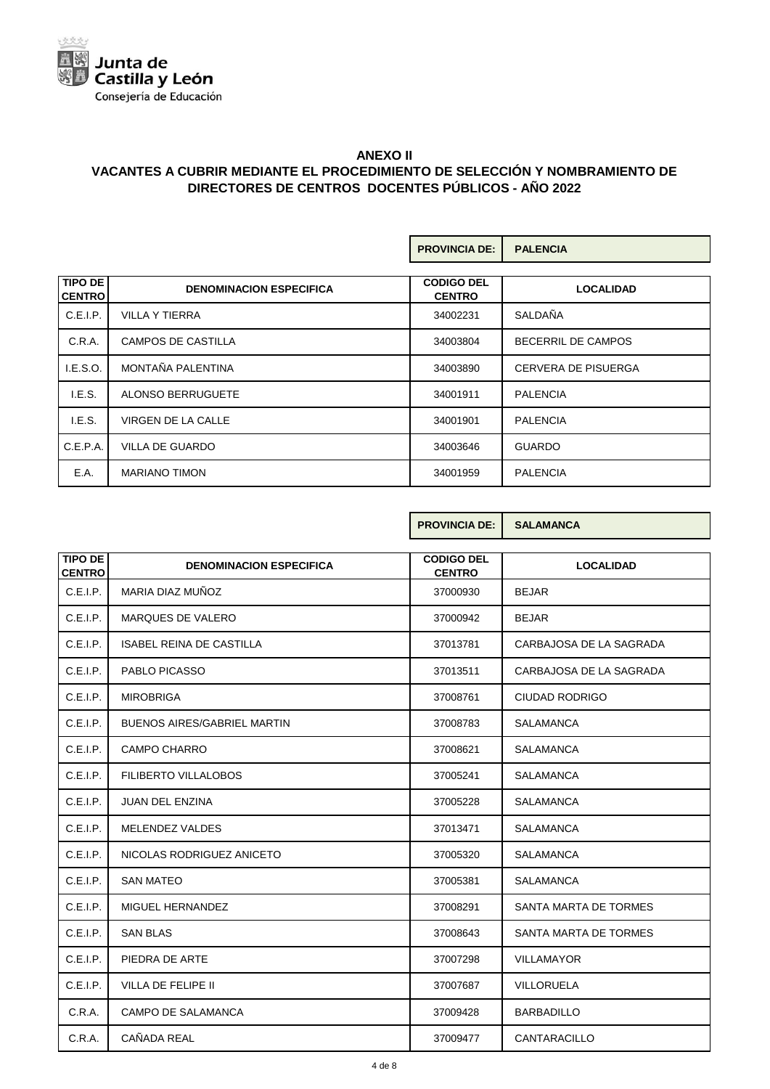

|                                 |                                | <b>PROVINCIA DE:</b>               | <b>PALENCIA</b>            |
|---------------------------------|--------------------------------|------------------------------------|----------------------------|
| <b>TIPO DE</b><br><b>CENTRO</b> | <b>DENOMINACION ESPECIFICA</b> | <b>CODIGO DEL</b><br><b>CENTRO</b> | <b>LOCALIDAD</b>           |
| C.E.I.P.                        | <b>VILLA Y TIERRA</b>          | 34002231                           | SALDAÑA                    |
| C.R.A.                          | <b>CAMPOS DE CASTILLA</b>      | 34003804                           | <b>BECERRIL DE CAMPOS</b>  |
| I.E.S.O.                        | MONTAÑA PALENTINA              | 34003890                           | <b>CERVERA DE PISUERGA</b> |
| I.E.S.                          | ALONSO BERRUGUETE              | 34001911                           | <b>PALENCIA</b>            |
| I.E.S.                          | VIRGEN DE LA CALLE             | 34001901                           | <b>PALENCIA</b>            |
| C.E.P.A.                        | <b>VILLA DE GUARDO</b>         | 34003646                           | <b>GUARDO</b>              |
| E.A.                            | <b>MARIANO TIMON</b>           | 34001959                           | <b>PALENCIA</b>            |

**PROVINCIA DE: SALAMANCA**

| <b>TIPO DE</b><br><b>CENTRO</b> | <b>DENOMINACION ESPECIFICA</b>     | <b>CODIGO DEL</b><br><b>CENTRO</b> | <b>LOCALIDAD</b>        |
|---------------------------------|------------------------------------|------------------------------------|-------------------------|
| C.E.I.P.                        | MARIA DIAZ MUÑOZ                   | 37000930                           | <b>BEJAR</b>            |
| C.E.I.P.                        | MARQUES DE VALERO                  | 37000942                           | <b>BEJAR</b>            |
| C.E.I.P.                        | <b>ISABEL REINA DE CASTILLA</b>    | 37013781                           | CARBAJOSA DE LA SAGRADA |
| C.E.I.P.                        | PABLO PICASSO                      | 37013511                           | CARBAJOSA DE LA SAGRADA |
| C.E.I.P.                        | <b>MIROBRIGA</b>                   | 37008761                           | <b>CIUDAD RODRIGO</b>   |
| C.E.I.P.                        | <b>BUENOS AIRES/GABRIEL MARTIN</b> | 37008783                           | <b>SALAMANCA</b>        |
| C.E.I.P.                        | <b>CAMPO CHARRO</b>                | 37008621                           | <b>SALAMANCA</b>        |
| C.E.I.P.                        | FILIBERTO VILLALOBOS               | 37005241                           | <b>SALAMANCA</b>        |
| C.E.I.P.                        | <b>JUAN DEL ENZINA</b>             | 37005228                           | <b>SALAMANCA</b>        |
| C.E.I.P.                        | <b>MELENDEZ VALDES</b>             | 37013471                           | <b>SALAMANCA</b>        |
| C.E.I.P.                        | NICOLAS RODRIGUEZ ANICETO          | 37005320                           | <b>SALAMANCA</b>        |
| C.E.I.P.                        | <b>SAN MATEO</b>                   | 37005381                           | <b>SALAMANCA</b>        |
| C.E.I.P.                        | MIGUEL HERNANDEZ                   | 37008291                           | SANTA MARTA DE TORMES   |
| C.E.I.P.                        | <b>SAN BLAS</b>                    | 37008643                           | SANTA MARTA DE TORMES   |
| C.E.I.P.                        | PIEDRA DE ARTE                     | 37007298                           | <b>VILLAMAYOR</b>       |
| C.E.I.P.                        | VILLA DE FELIPE II                 | 37007687                           | VILLORUELA              |
| C.R.A.                          | <b>CAMPO DE SALAMANCA</b>          | 37009428                           | <b>BARBADILLO</b>       |

C.R.A. CAÑADA REAL 37009477 CANTARACILLO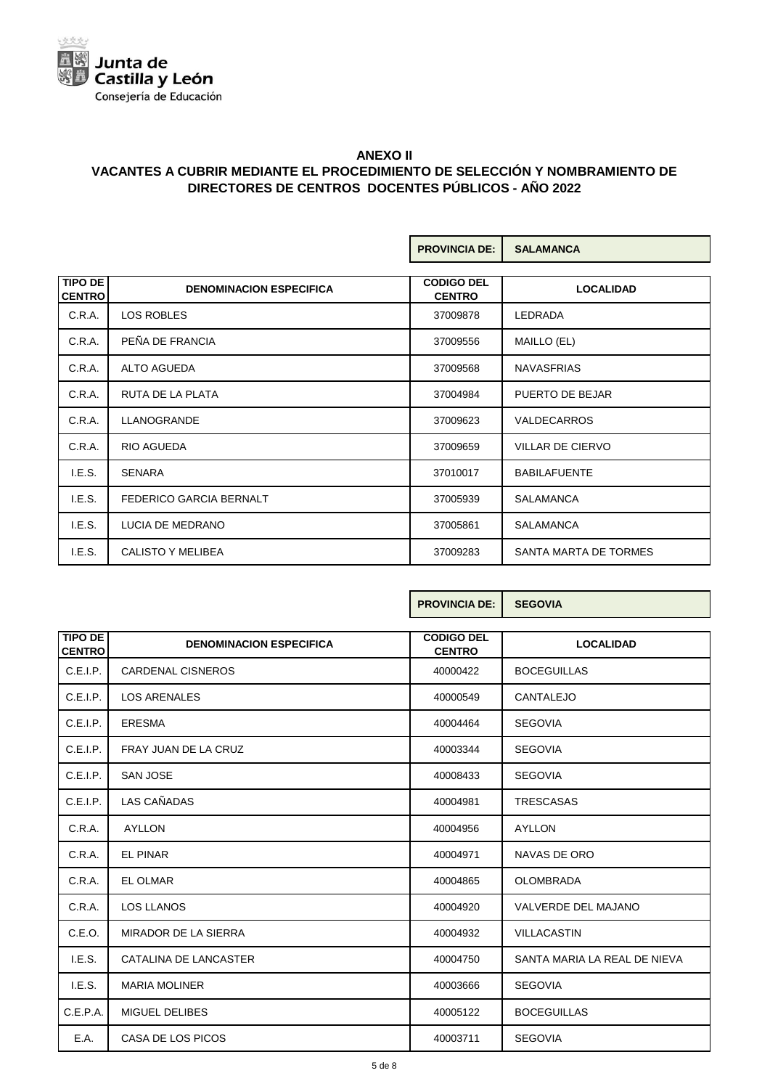

|                                 |                                | <b>PROVINCIA DE:</b>               | <b>SALAMANCA</b>        |
|---------------------------------|--------------------------------|------------------------------------|-------------------------|
| <b>TIPO DE</b><br><b>CENTRO</b> | <b>DENOMINACION ESPECIFICA</b> | <b>CODIGO DEL</b><br><b>CENTRO</b> | <b>LOCALIDAD</b>        |
| C.R.A.                          | LOS ROBLES                     | 37009878                           | <b>LEDRADA</b>          |
| C.R.A.                          | PEÑA DE FRANCIA                | 37009556                           | MAILLO (EL)             |
| C.R.A.                          | <b>ALTO AGUEDA</b>             | 37009568                           | <b>NAVASFRIAS</b>       |
| C.R.A.                          | RUTA DE LA PLATA               | 37004984                           | PUERTO DE BEJAR         |
| C.R.A.                          | <b>LLANOGRANDE</b>             | 37009623                           | <b>VALDECARROS</b>      |
| C.R.A.                          | RIO AGUEDA                     | 37009659                           | <b>VILLAR DE CIERVO</b> |
| I.E.S.                          | <b>SENARA</b>                  | 37010017                           | <b>BABILAFUENTE</b>     |
| I.E.S.                          | FEDERICO GARCIA BERNALT        | 37005939                           | <b>SALAMANCA</b>        |
| I.E.S.                          | LUCIA DE MEDRANO               | 37005861                           | <b>SALAMANCA</b>        |
| I.E.S.                          | <b>CALISTO Y MELIBEA</b>       | 37009283                           | SANTA MARTA DE TORMES   |

Г

|                                 |                                | <b>PROVINCIA DE:</b>               | <b>SEGOVIA</b>               |
|---------------------------------|--------------------------------|------------------------------------|------------------------------|
| <b>TIPO DE</b><br><b>CENTRO</b> | <b>DENOMINACION ESPECIFICA</b> | <b>CODIGO DEL</b><br><b>CENTRO</b> | <b>LOCALIDAD</b>             |
| C.E.I.P.                        | <b>CARDENAL CISNEROS</b>       | 40000422                           | <b>BOCEGUILLAS</b>           |
| C.E.I.P.                        | <b>LOS ARENALES</b>            | 40000549                           | CANTALEJO                    |
| C.E.I.P.                        | <b>ERESMA</b>                  | 40004464                           | <b>SEGOVIA</b>               |
| C.E.I.P.                        | FRAY JUAN DE LA CRUZ           | 40003344                           | <b>SEGOVIA</b>               |
| C.E.I.P.                        | <b>SAN JOSE</b>                | 40008433                           | <b>SEGOVIA</b>               |
| C.E.I.P.                        | LAS CAÑADAS                    | 40004981                           | <b>TRESCASAS</b>             |
| C.R.A.                          | <b>AYLLON</b>                  | 40004956                           | <b>AYLLON</b>                |
| C.R.A.                          | <b>EL PINAR</b>                | 40004971                           | NAVAS DE ORO                 |
| C.R.A.                          | <b>EL OLMAR</b>                | 40004865                           | <b>OLOMBRADA</b>             |
| C.R.A.                          | <b>LOS LLANOS</b>              | 40004920                           | VALVERDE DEL MAJANO          |
| C.E.O.                          | <b>MIRADOR DE LA SIERRA</b>    | 40004932                           | <b>VILLACASTIN</b>           |
| I.E.S.                          | CATALINA DE LANCASTER          | 40004750                           | SANTA MARIA LA REAL DE NIEVA |
| I.E.S.                          | <b>MARIA MOLINER</b>           | 40003666                           | <b>SEGOVIA</b>               |
| C.E.P.A.                        | <b>MIGUEL DELIBES</b>          | 40005122                           | <b>BOCEGUILLAS</b>           |
| E.A.                            | CASA DE LOS PICOS              | 40003711                           | <b>SEGOVIA</b>               |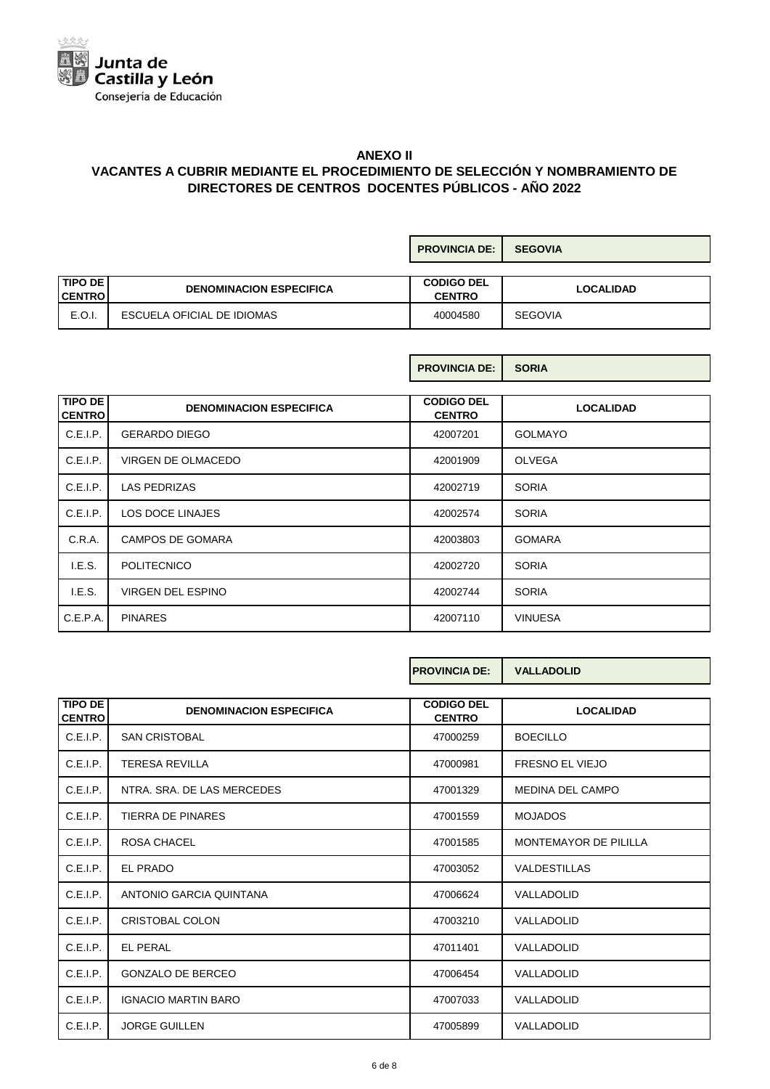

|                                     |                                | <b>PROVINCIA DE:</b>               | <b>SEGOVIA</b>   |
|-------------------------------------|--------------------------------|------------------------------------|------------------|
| <b>TIPO DE</b><br><b>I CENTRO I</b> | <b>DENOMINACION ESPECIFICA</b> | <b>CODIGO DEL</b><br><b>CENTRO</b> | <b>LOCALIDAD</b> |
| E.O.I.                              | ESCUELA OFICIAL DE IDIOMAS     | 40004580                           | <b>SEGOVIA</b>   |

**PROVINCIA DE: SORIA**

| <b>TIPO DE</b><br><b>I CENTRO I</b> | <b>DENOMINACION ESPECIFICA</b> | <b>CODIGO DEL</b><br><b>CENTRO</b> | <b>LOCALIDAD</b> |
|-------------------------------------|--------------------------------|------------------------------------|------------------|
| C.E.I.P.                            | <b>GERARDO DIEGO</b>           | 42007201                           | <b>GOLMAYO</b>   |
| C.E.I.P.                            | VIRGEN DE OLMACEDO             | 42001909                           | <b>OLVEGA</b>    |
| C.E.I.P.                            | <b>LAS PEDRIZAS</b>            | 42002719                           | <b>SORIA</b>     |
| C.E.I.P.                            | LOS DOCE LINAJES               | 42002574                           | <b>SORIA</b>     |
| C.R.A.                              | <b>CAMPOS DE GOMARA</b>        | 42003803                           | <b>GOMARA</b>    |
| I.E.S.                              | <b>POLITECNICO</b>             | 42002720                           | <b>SORIA</b>     |
| I.E.S.                              | VIRGEN DEL ESPINO              | 42002744                           | <b>SORIA</b>     |
| C.E.P.A.                            | <b>PINARES</b>                 | 42007110                           | <b>VINUESA</b>   |

|                |                                | <b>PROVINCIA DE:</b>               | <b>VALLADOLID</b>      |  |  |
|----------------|--------------------------------|------------------------------------|------------------------|--|--|
| <b>TIPO DE</b> |                                |                                    |                        |  |  |
| <b>CENTRO</b>  | <b>DENOMINACION ESPECIFICA</b> | <b>CODIGO DEL</b><br><b>CENTRO</b> | <b>LOCALIDAD</b>       |  |  |
| C.E.I.P.       | <b>SAN CRISTOBAL</b>           | 47000259                           | <b>BOECILLO</b>        |  |  |
| C.E.I.P.       | <b>TERESA REVILLA</b>          | 47000981                           | <b>FRESNO EL VIEJO</b> |  |  |
| C.E.I.P.       | NTRA. SRA. DE LAS MERCEDES     | 47001329                           | MEDINA DEL CAMPO       |  |  |
| C.E.I.P.       | <b>TIERRA DE PINARES</b>       | 47001559                           | <b>MOJADOS</b>         |  |  |
| C.E.I.P.       | ROSA CHACEL                    | 47001585                           | MONTEMAYOR DE PILILLA  |  |  |
| C.E.I.P.       | EL PRADO                       | 47003052                           | <b>VALDESTILLAS</b>    |  |  |
| C.E.I.P.       | ANTONIO GARCIA QUINTANA        | 47006624                           | VALLADOLID             |  |  |
| C.E.I.P.       | CRISTOBAL COLON                | 47003210                           | VALLADOLID             |  |  |
| C.E.I.P.       | <b>EL PERAL</b>                | 47011401                           | VALLADOLID             |  |  |
| C.E.I.P.       | <b>GONZALO DE BERCEO</b>       | 47006454                           | VALLADOLID             |  |  |
| C.E.I.P.       | <b>IGNACIO MARTIN BARO</b>     | 47007033                           | VALLADOLID             |  |  |
| C.E.I.P.       | <b>JORGE GUILLEN</b>           | 47005899                           | VALLADOLID             |  |  |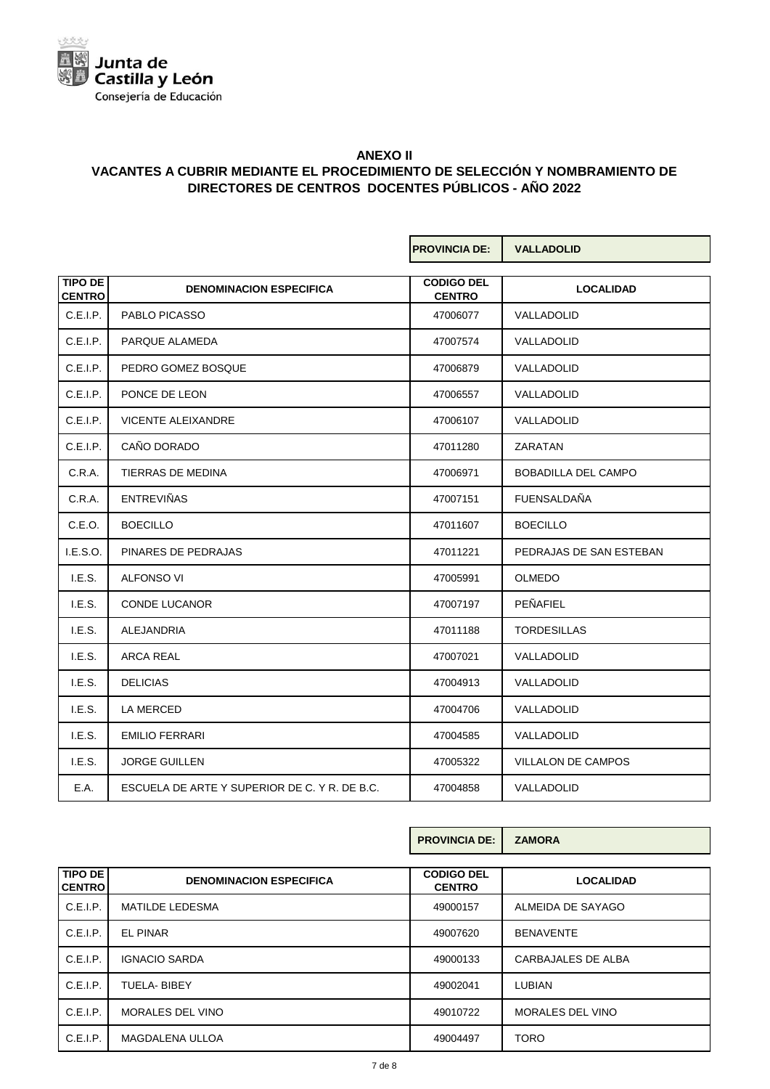

|                                 |                                               | <b>PROVINCIA DE:</b>               | <b>VALLADOLID</b>          |
|---------------------------------|-----------------------------------------------|------------------------------------|----------------------------|
|                                 |                                               |                                    |                            |
| <b>TIPO DE</b><br><b>CENTRO</b> | <b>DENOMINACION ESPECIFICA</b>                | <b>CODIGO DEL</b><br><b>CENTRO</b> | <b>LOCALIDAD</b>           |
| C.E.I.P.                        | PABLO PICASSO                                 | 47006077                           | VALLADOLID                 |
| C.E.I.P.                        | PARQUE ALAMEDA                                | 47007574                           | VALLADOLID                 |
| C.E.I.P.                        | PEDRO GOMEZ BOSQUE                            | 47006879                           | VALLADOLID                 |
| C.E.I.P.                        | PONCE DE LEON                                 | 47006557                           | VALLADOLID                 |
| C.E.I.P.                        | <b>VICENTE ALEIXANDRE</b>                     | 47006107                           | VALLADOLID                 |
| C.E.I.P.                        | CAÑO DORADO                                   | 47011280                           | <b>ZARATAN</b>             |
| C.R.A.                          | TIERRAS DE MEDINA                             | 47006971                           | <b>BOBADILLA DEL CAMPO</b> |
| C.R.A.                          | <b>ENTREVIÑAS</b>                             | 47007151                           | <b>FUENSALDAÑA</b>         |
| C.E.O.                          | <b>BOECILLO</b>                               | 47011607                           | <b>BOECILLO</b>            |
| I.E.S.O.                        | PINARES DE PEDRAJAS                           | 47011221                           | PEDRAJAS DE SAN ESTEBAN    |
| I.E.S.                          | ALFONSO VI                                    | 47005991                           | <b>OLMEDO</b>              |
| I.E.S.                          | <b>CONDE LUCANOR</b>                          | 47007197                           | PEÑAFIEL                   |
| I.E.S.                          | ALEJANDRIA                                    | 47011188                           | <b>TORDESILLAS</b>         |
| I.E.S.                          | <b>ARCA REAL</b>                              | 47007021                           | VALLADOLID                 |
| I.E.S.                          | <b>DELICIAS</b>                               | 47004913                           | VALLADOLID                 |
| LE.S.                           | LA MERCED                                     | 47004706                           | VALLADOLID                 |
| I.E.S.                          | <b>EMILIO FERRARI</b>                         | 47004585                           | VALLADOLID                 |
| LE.S.                           | <b>JORGE GUILLEN</b>                          | 47005322                           | VILLALON DE CAMPOS         |
| E.A.                            | ESCUELA DE ARTE Y SUPERIOR DE C. Y R. DE B.C. | 47004858                           | VALLADOLID                 |

|                          |                                | <b>PROVINCIA DE:</b>               | <b>ZAMORA</b>           |
|--------------------------|--------------------------------|------------------------------------|-------------------------|
| TIPO DE<br><b>CENTRO</b> | <b>DENOMINACION ESPECIFICA</b> | <b>CODIGO DEL</b><br><b>CENTRO</b> | <b>LOCALIDAD</b>        |
| C.E.I.P.                 | <b>MATILDE LEDESMA</b>         | 49000157                           | ALMEIDA DE SAYAGO       |
| C.E.I.P.                 | <b>EL PINAR</b>                | 49007620                           | <b>BENAVENTE</b>        |
| C.E.I.P.                 | <b>IGNACIO SARDA</b>           | 49000133                           | CARBAJALES DE ALBA      |
| C.E.I.P.                 | TUELA- BIBEY                   | 49002041                           | <b>LUBIAN</b>           |
| C.E.I.P.                 | MORALES DEL VINO               | 49010722                           | <b>MORALES DEL VINO</b> |
| C.E.I.P.                 | <b>MAGDALENA ULLOA</b>         | 49004497                           | <b>TORO</b>             |